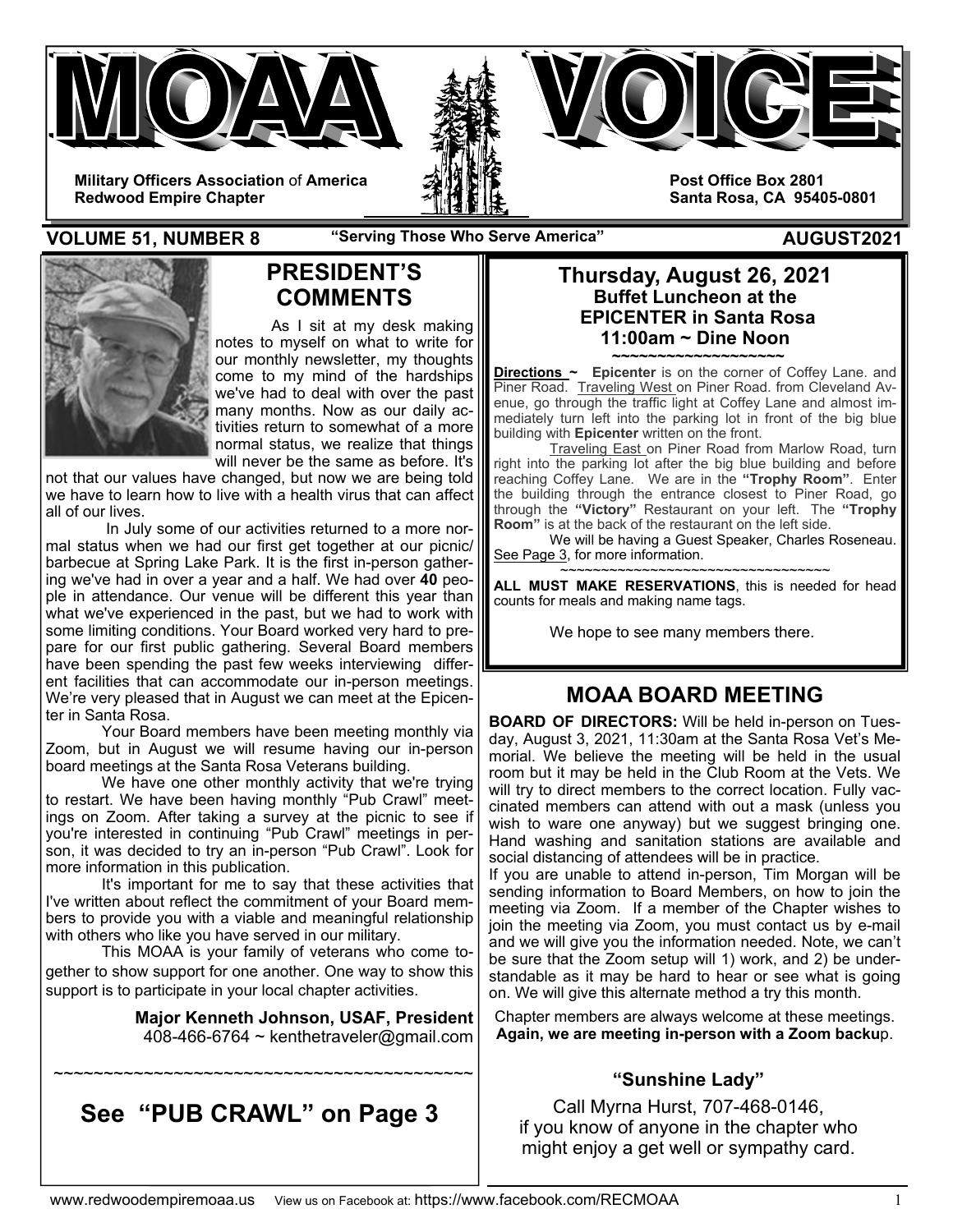

**VOLUME 51, NUMBER 8** The "Serving Those Who Serve America" AUGUST2021



## **PRESIDENT'S COMMENTS**

 As I sit at my desk making notes to myself on what to write for our monthly newsletter, my thoughts come to my mind of the hardships we've had to deal with over the past many months. Now as our daily activities return to somewhat of a more normal status, we realize that things will never be the same as before. It's

not that our values have changed, but now we are being told we have to learn how to live with a health virus that can affect all of our lives.

 In July some of our activities returned to a more normal status when we had our first get together at our picnic/ barbecue at Spring Lake Park. It is the first in-person gathering we've had in over a year and a half. We had over **40** people in attendance. Our venue will be different this year than what we've experienced in the past, but we had to work with some limiting conditions. Your Board worked very hard to prepare for our first public gathering. Several Board members have been spending the past few weeks interviewing different facilities that can accommodate our in-person meetings. We're very pleased that in August we can meet at the Epicenter in Santa Rosa.

Your Board members have been meeting monthly via Zoom, but in August we will resume having our in-person board meetings at the Santa Rosa Veterans building.

 We have one other monthly activity that we're trying to restart. We have been having monthly "Pub Crawl" meetings on Zoom. After taking a survey at the picnic to see if you're interested in continuing "Pub Crawl" meetings in person, it was decided to try an in-person "Pub Crawl". Look for more information in this publication.

 It's important for me to say that these activities that I've written about reflect the commitment of your Board members to provide you with a viable and meaningful relationship with others who like you have served in our military.

 This MOAA is your family of veterans who come together to show support for one another. One way to show this support is to participate in your local chapter activities.

> **Major Kenneth Johnson, USAF, President**  408-466-6764  $\sim$  kenthetraveler@gmail.com

### **Thursday, August 26, 2021 Buffet Luncheon at the EPICENTER in Santa Rosa 11:00am ~ Dine Noon**

**~~~~~~~~~~~~~~~~~~~ Directions ~ Epicenter** is on the corner of Coffey Lane. and Piner Road. Traveling West on Piner Road. from Cleveland Avenue, go through the traffic light at Coffey Lane and almost immediately turn left into the parking lot in front of the big blue building with **Epicenter** written on the front.

 Traveling East on Piner Road from Marlow Road, turn right into the parking lot after the big blue building and before reaching Coffey Lane. We are in the **"Trophy Room"**. Enter the building through the entrance closest to Piner Road, go through the **"Victory"** Restaurant on your left. The **"Trophy Room"** is at the back of the restaurant on the left side.

 We will be having a Guest Speaker, Charles Roseneau. See Page 3, for more information.

~~~~~~~~~~~~~~~~~~~~~~~~~~~~~~~ **ALL MUST MAKE RESERVATIONS**, this is needed for head counts for meals and making name tags.

We hope to see many members there.

# **MOAA BOARD MEETING**

**BOARD OF DIRECTORS:** Will be held in-person on Tuesday, August 3, 2021, 11:30am at the Santa Rosa Vet's Memorial. We believe the meeting will be held in the usual room but it may be held in the Club Room at the Vets. We will try to direct members to the correct location. Fully vaccinated members can attend with out a mask (unless you wish to ware one anyway) but we suggest bringing one. Hand washing and sanitation stations are available and social distancing of attendees will be in practice.

If you are unable to attend in-person, Tim Morgan will be sending information to Board Members, on how to join the meeting via Zoom. If a member of the Chapter wishes to join the meeting via Zoom, you must contact us by e-mail and we will give you the information needed. Note, we can't be sure that the Zoom setup will 1) work, and 2) be understandable as it may be hard to hear or see what is going on. We will give this alternate method a try this month.

Chapter members are always welcome at these meetings. **Again, we are meeting in-person with a Zoom backu**p.

### **"Sunshine Lady"**

Call Myrna Hurst, 707-468-0146, if you know of anyone in the chapter who might enjoy a get well or sympathy card.

# **See "PUB CRAWL" on Page 3**

~~~~~~~~~~~~~~~~~~~~~~~~~~~~~~~~~~~~~~~~~~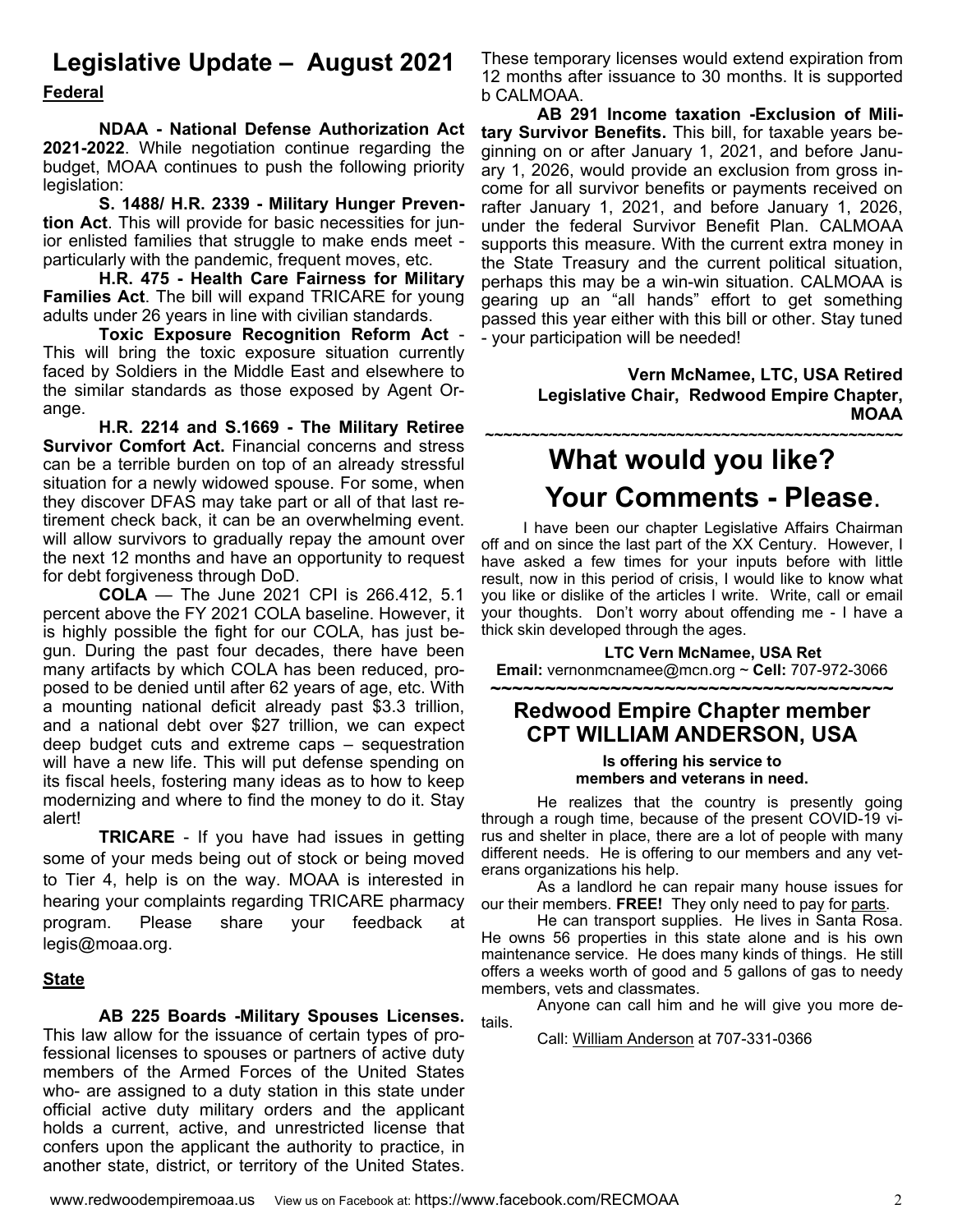# **Legislative Update – August 2021**

**Federal** 

 **NDAA - National Defense Authorization Act 2021-2022**. While negotiation continue regarding the budget, MOAA continues to push the following priority legislation:

**S. 1488/ H.R. 2339 - Military Hunger Prevention Act**. This will provide for basic necessities for junior enlisted families that struggle to make ends meet particularly with the pandemic, frequent moves, etc.

**H.R. 475 - Health Care Fairness for Military Families Act**. The bill will expand TRICARE for young adults under 26 years in line with civilian standards.

**Toxic Exposure Recognition Reform Act** - This will bring the toxic exposure situation currently faced by Soldiers in the Middle East and elsewhere to the similar standards as those exposed by Agent Orange.

**H.R. 2214 and S.1669 - The Military Retiree Survivor Comfort Act.** Financial concerns and stress can be a terrible burden on top of an already stressful situation for a newly widowed spouse. For some, when they discover DFAS may take part or all of that last retirement check back, it can be an overwhelming event. will allow survivors to gradually repay the amount over the next 12 months and have an opportunity to request for debt forgiveness through DoD.

**COLA** — The June 2021 CPI is 266.412, 5.1 percent above the FY 2021 COLA baseline. However, it is highly possible the fight for our COLA, has just begun. During the past four decades, there have been many artifacts by which COLA has been reduced, proposed to be denied until after 62 years of age, etc. With a mounting national deficit already past \$3.3 trillion, and a national debt over \$27 trillion, we can expect deep budget cuts and extreme caps – sequestration will have a new life. This will put defense spending on its fiscal heels, fostering many ideas as to how to keep modernizing and where to find the money to do it. Stay alert!

**TRICARE** - If you have had issues in getting some of your meds being out of stock or being moved to Tier 4, help is on the way. MOAA is interested in hearing your complaints regarding TRICARE pharmacy program. Please share your feedback at legis@moaa.org.

### **State**

**AB 225 Boards -Military Spouses Licenses.** This law allow for the issuance of certain types of professional licenses to spouses or partners of active duty members of the Armed Forces of the United States who- are assigned to a duty station in this state under official active duty military orders and the applicant holds a current, active, and unrestricted license that confers upon the applicant the authority to practice, in another state, district, or territory of the United States.

These temporary licenses would extend expiration from 12 months after issuance to 30 months. It is supported b CALMOAA.

**AB 291 Income taxation -Exclusion of Military Survivor Benefits.** This bill, for taxable years beginning on or after January 1, 2021, and before January 1, 2026, would provide an exclusion from gross income for all survivor benefits or payments received on rafter January 1, 2021, and before January 1, 2026, under the federal Survivor Benefit Plan. CALMOAA supports this measure. With the current extra money in the State Treasury and the current political situation, perhaps this may be a win-win situation. CALMOAA is gearing up an "all hands" effort to get something passed this year either with this bill or other. Stay tuned - your participation will be needed!

> **Vern McNamee, LTC, USA Retired Legislative Chair, Redwood Empire Chapter, MOAA**

# **~~~~~~~~~~~~~~~~~~~~~~~~~~~~~~~~~~~~~~~~~~~~~~ What would you like? Your Comments - Please.**<br>I have been our chapter Legislative Affairs Chairman

off and on since the last part of the XX Century. However, I have asked a few times for your inputs before with little result, now in this period of crisis, I would like to know what you like or dislike of the articles I write. Write, call or email your thoughts. Don't worry about offending me - I have a thick skin developed through the ages.

**LTC Vern McNamee, USA Ret Email:** vernonmcnamee@mcn.org ~ **Cell:** 707-972-3066

### **~~~~~~~~~~~~~~~~~~~~~~~~~~~~~~~~~~~~~ Redwood Empire Chapter member CPT WILLIAM ANDERSON, USA**

### **Is offering his service to members and veterans in need.**

 He realizes that the country is presently going through a rough time, because of the present COVID-19 virus and shelter in place, there are a lot of people with many different needs. He is offering to our members and any veterans organizations his help.

 As a landlord he can repair many house issues for our their members. **FREE!** They only need to pay for parts.

 He can transport supplies. He lives in Santa Rosa. He owns 56 properties in this state alone and is his own maintenance service. He does many kinds of things. He still offers a weeks worth of good and 5 gallons of gas to needy members, vets and classmates.

 Anyone can call him and he will give you more details.

Call: William Anderson at 707-331-0366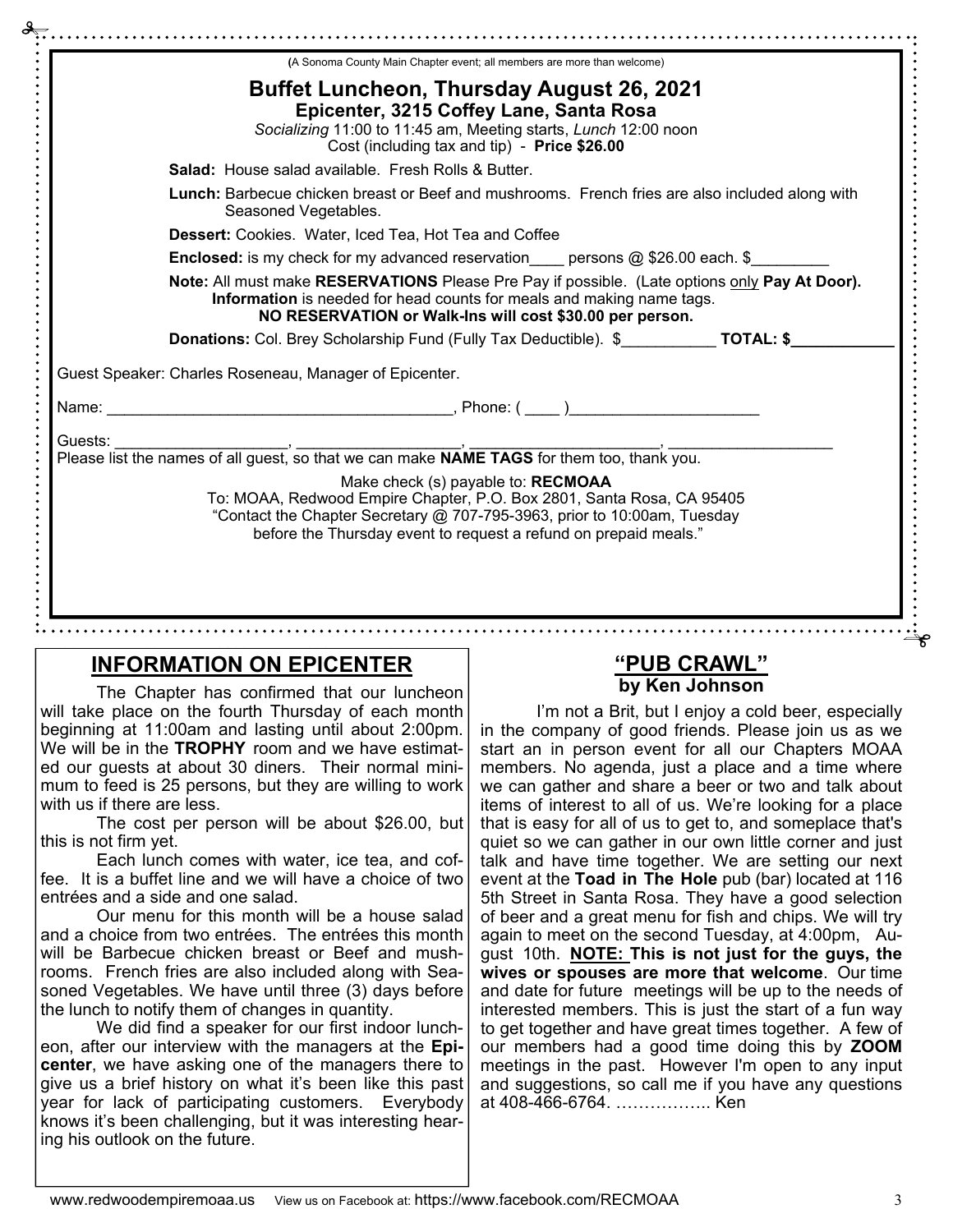|         | (A Sonoma County Main Chapter event; all members are more than welcome)                                                                                                                                        |
|---------|----------------------------------------------------------------------------------------------------------------------------------------------------------------------------------------------------------------|
|         | <b>Buffet Luncheon, Thursday August 26, 2021</b><br>Epicenter, 3215 Coffey Lane, Santa Rosa<br>Socializing 11:00 to 11:45 am, Meeting starts, Lunch 12:00 noon<br>Cost (including tax and tip) - Price \$26.00 |
|         | Salad: House salad available. Fresh Rolls & Butter.                                                                                                                                                            |
|         | Lunch: Barbecue chicken breast or Beef and mushrooms. French fries are also included along with<br>Seasoned Vegetables.                                                                                        |
|         | <b>Dessert:</b> Cookies. Water, Iced Tea, Hot Tea and Coffee                                                                                                                                                   |
|         | <b>Enclosed:</b> is my check for my advanced reservation persons $@$ \$26.00 each. \$                                                                                                                          |
|         | Note: All must make RESERVATIONS Please Pre Pay if possible. (Late options only Pay At Door).                                                                                                                  |
|         | Information is needed for head counts for meals and making name tags.<br>NO RESERVATION or Walk-Ins will cost \$30.00 per person.                                                                              |
|         | Donations: Col. Brey Scholarship Fund (Fully Tax Deductible). \$ ___________ TOTAL: \$                                                                                                                         |
|         | Guest Speaker: Charles Roseneau, Manager of Epicenter.                                                                                                                                                         |
|         |                                                                                                                                                                                                                |
| Guests: |                                                                                                                                                                                                                |
|         | Please list the names of all guest, so that we can make <b>NAME TAGS</b> for them too, thank you.                                                                                                              |

# **INFORMATION ON EPICENTER**

### **"PUB CRAWL" by Ken Johnson**

The Chapter has confirmed that our luncheon will take place on the fourth Thursday of each month beginning at 11:00am and lasting until about 2:00pm. We will be in the **TROPHY** room and we have estimated our guests at about 30 diners. Their normal minimum to feed is 25 persons, but they are willing to work with us if there are less.

 The cost per person will be about \$26.00, but this is not firm yet.

 Each lunch comes with water, ice tea, and coffee. It is a buffet line and we will have a choice of two entrées and a side and one salad.

 Our menu for this month will be a house salad and a choice from two entrées. The entrées this month will be Barbecue chicken breast or Beef and mushrooms. French fries are also included along with Seasoned Vegetables. We have until three (3) days before the lunch to notify them of changes in quantity.

 We did find a speaker for our first indoor luncheon, after our interview with the managers at the **Epicenter**, we have asking one of the managers there to give us a brief history on what it's been like this past year for lack of participating customers. Everybody knows it's been challenging, but it was interesting hearing his outlook on the future.

I'm not a Brit, but I enjoy a cold beer, especially in the company of good friends. Please join us as we start an in person event for all our Chapters MOAA members. No agenda, just a place and a time where we can gather and share a beer or two and talk about items of interest to all of us. We're looking for a place that is easy for all of us to get to, and someplace that's quiet so we can gather in our own little corner and just talk and have time together. We are setting our next event at the **Toad in The Hole** pub (bar) located at 116 5th Street in Santa Rosa. They have a good selection of beer and a great menu for fish and chips. We will try again to meet on the second Tuesday, at 4:00pm, August 10th. **NOTE: This is not just for the guys, the wives or spouses are more that welcome**. Our time and date for future meetings will be up to the needs of interested members. This is just the start of a fun way to get together and have great times together. A few of our members had a good time doing this by **ZOOM** meetings in the past. However I'm open to any input and suggestions, so call me if you have any questions at 408-466-6764. …………….. Ken